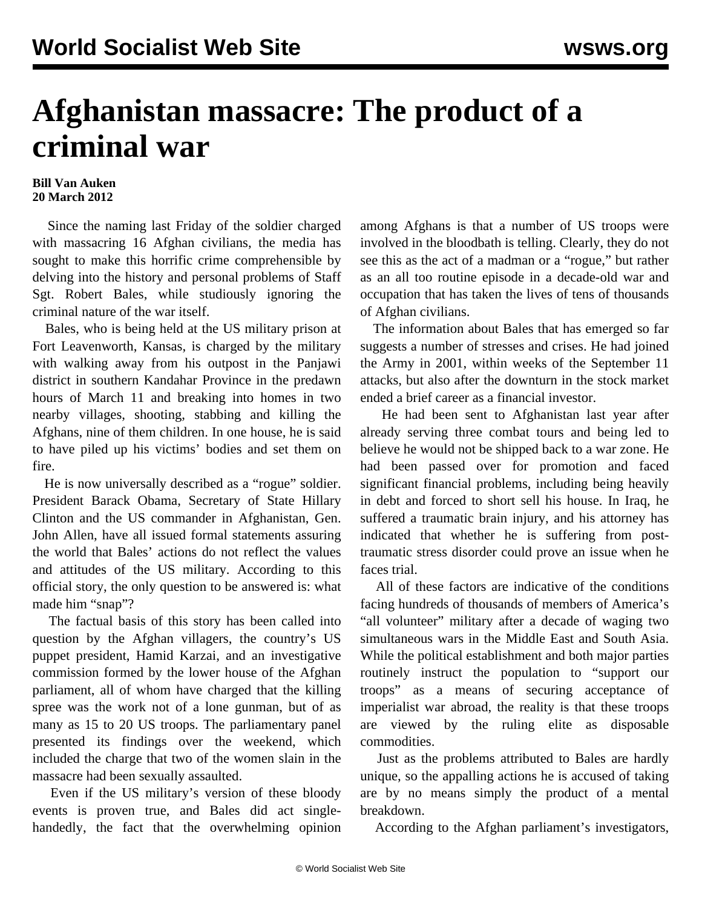## **Afghanistan massacre: The product of a criminal war**

## **Bill Van Auken 20 March 2012**

 Since the naming last Friday of the soldier charged with massacring 16 Afghan civilians, the media has sought to make this horrific crime comprehensible by delving into the history and personal problems of Staff Sgt. Robert Bales, while studiously ignoring the criminal nature of the war itself.

 Bales, who is being held at the US military prison at Fort Leavenworth, Kansas, is charged by the military with walking away from his outpost in the Panjawi district in southern Kandahar Province in the predawn hours of March 11 and breaking into homes in two nearby villages, shooting, stabbing and killing the Afghans, nine of them children. In one house, he is said to have piled up his victims' bodies and set them on fire.

 He is now universally described as a "rogue" soldier. President Barack Obama, Secretary of State Hillary Clinton and the US commander in Afghanistan, Gen. John Allen, have all issued formal statements assuring the world that Bales' actions do not reflect the values and attitudes of the US military. According to this official story, the only question to be answered is: what made him "snap"?

 The factual basis of this story has been called into question by the Afghan villagers, the country's US puppet president, Hamid Karzai, and an investigative commission formed by the lower house of the Afghan parliament, all of whom have charged that the killing spree was the work not of a lone gunman, but of as many as 15 to 20 US troops. The parliamentary panel presented its findings over the weekend, which included the charge that two of the women slain in the massacre had been sexually assaulted.

 Even if the US military's version of these bloody events is proven true, and Bales did act singlehandedly, the fact that the overwhelming opinion among Afghans is that a number of US troops were involved in the bloodbath is telling. Clearly, they do not see this as the act of a madman or a "rogue," but rather as an all too routine episode in a decade-old war and occupation that has taken the lives of tens of thousands of Afghan civilians.

 The information about Bales that has emerged so far suggests a number of stresses and crises. He had joined the Army in 2001, within weeks of the September 11 attacks, but also after the downturn in the stock market ended a brief career as a financial investor.

 He had been sent to Afghanistan last year after already serving three combat tours and being led to believe he would not be shipped back to a war zone. He had been passed over for promotion and faced significant financial problems, including being heavily in debt and forced to short sell his house. In Iraq, he suffered a traumatic brain injury, and his attorney has indicated that whether he is suffering from posttraumatic stress disorder could prove an issue when he faces trial.

 All of these factors are indicative of the conditions facing hundreds of thousands of members of America's "all volunteer" military after a decade of waging two simultaneous wars in the Middle East and South Asia. While the political establishment and both major parties routinely instruct the population to "support our troops" as a means of securing acceptance of imperialist war abroad, the reality is that these troops are viewed by the ruling elite as disposable commodities.

 Just as the problems attributed to Bales are hardly unique, so the appalling actions he is accused of taking are by no means simply the product of a mental breakdown.

According to the Afghan parliament's investigators,